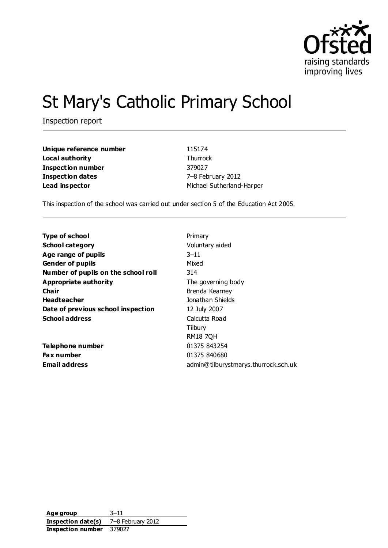

# St Mary's Catholic Primary School

Inspection report

| Unique reference number | 115174                    |
|-------------------------|---------------------------|
| Local authority         | Thurrock                  |
| Inspection number       | 379027                    |
| Inspection dates        | 7-8 February 2012         |
| Lead inspector          | Michael Sutherland-Harper |

This inspection of the school was carried out under section 5 of the Education Act 2005.

| <b>Type of school</b>               | Primary                              |
|-------------------------------------|--------------------------------------|
| <b>School category</b>              | Voluntary aided                      |
| Age range of pupils                 | 3–11                                 |
| <b>Gender of pupils</b>             | Mixed                                |
| Number of pupils on the school roll | 314                                  |
| Appropriate authority               | The governing body                   |
| Cha ir                              | Brenda Kearney                       |
| <b>Headteacher</b>                  | Jonathan Shields                     |
| Date of previous school inspection  | 12 July 2007                         |
| <b>School address</b>               | Calcutta Road                        |
|                                     | Tilbury                              |
|                                     | <b>RM18 7QH</b>                      |
| Telephone number                    | 01375 843254                         |
| <b>Fax number</b>                   | 01375 840680                         |
| Email address                       | admin@tilburystmarys.thurrock.sch.uk |

**Age group** 3–11 **Inspection date(s)** 7–8 February 2012 **Inspection number** 379027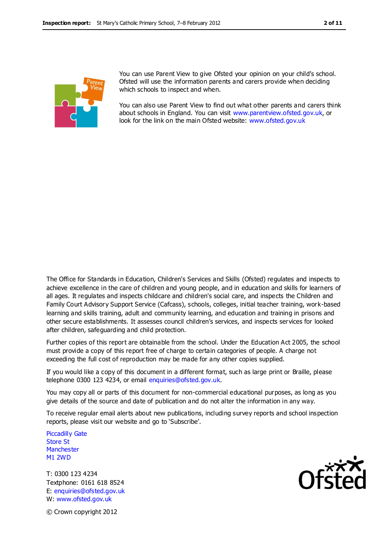

You can use Parent View to give Ofsted your opinion on your child's school. Ofsted will use the information parents and carers provide when deciding which schools to inspect and when.

You can also use Parent View to find out what other parents and carers think about schools in England. You can visit [www.parentview.ofsted.gov.uk,](http://www.parentview.ofsted.gov.uk/) or look for the link on the main Ofsted website: [www.ofsted.gov.uk](http://www.ofsted.gov.uk/)

The Office for Standards in Education, Children's Services and Skills (Ofsted) regulates and inspects to achieve excellence in the care of children and young people, and in education and skills for learners of all ages. It regulates and inspects childcare and children's social care, and inspects the Children and Family Court Advisory Support Service (Cafcass), schools, colleges, initial teacher training, work-based learning and skills training, adult and community learning, and education and training in prisons and other secure establishments. It assesses council children's services, and inspects services for looked after children, safeguarding and child protection.

Further copies of this report are obtainable from the school. Under the Education Act 2005, the school must provide a copy of this report free of charge to certain categories of people. A charge not exceeding the full cost of reproduction may be made for any other copies supplied.

If you would like a copy of this document in a different format, such as large print or Braille, please telephone 0300 123 4234, or email enquiries@ofsted.gov.uk.

You may copy all or parts of this document for non-commercial educational purposes, as long as you give details of the source and date of publication and do not alter the information in any way.

To receive regular email alerts about new publications, including survey reports and school inspection reports, please visit our website and go to 'Subscribe'.

Piccadilly Gate Store St **Manchester** M1 2WD

T: 0300 123 4234 Textphone: 0161 618 8524 E: enquiries@ofsted.gov.uk W: www.ofsted.gov.uk



© Crown copyright 2012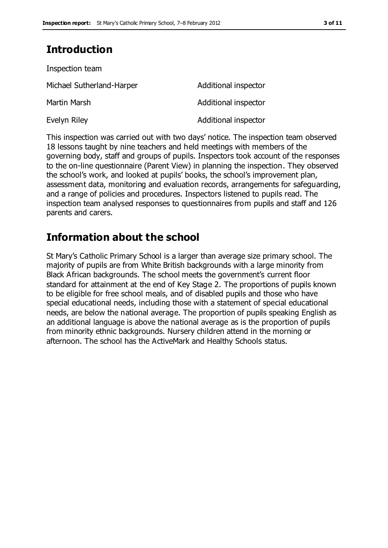# **Introduction**

| Inspection team           |                      |
|---------------------------|----------------------|
| Michael Sutherland-Harper | Additional inspector |
| Martin Marsh              | Additional inspector |
| Evelyn Riley              | Additional inspector |

This inspection was carried out with two days' notice. The inspection team observed 18 lessons taught by nine teachers and held meetings with members of the governing body, staff and groups of pupils. Inspectors took account of the responses to the on-line questionnaire (Parent View) in planning the inspection. They observed the school's work, and looked at pupils' books, the school's improvement plan, assessment data, monitoring and evaluation records, arrangements for safeguarding, and a range of policies and procedures. Inspectors listened to pupils read. The inspection team analysed responses to questionnaires from pupils and staff and 126 parents and carers.

## **Information about the school**

St Mary's Catholic Primary School is a larger than average size primary school. The majority of pupils are from White British backgrounds with a large minority from Black African backgrounds. The school meets the government's current floor standard for attainment at the end of Key Stage 2. The proportions of pupils known to be eligible for free school meals, and of disabled pupils and those who have special educational needs, including those with a statement of special educational needs, are below the national average. The proportion of pupils speaking English as an additional language is above the national average as is the proportion of pupils from minority ethnic backgrounds. Nursery children attend in the morning or afternoon. The school has the ActiveMark and Healthy Schools status.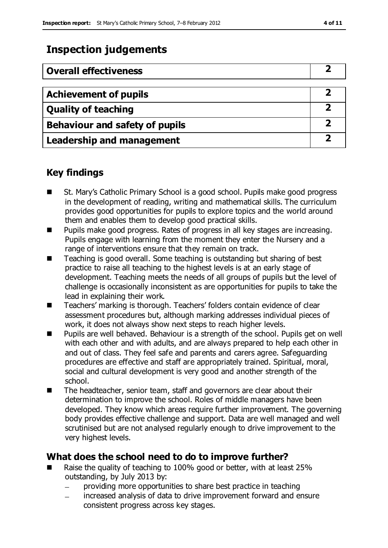# **Inspection judgements**

| <b>Overall effectiveness</b>          |  |
|---------------------------------------|--|
|                                       |  |
| <b>Achievement of pupils</b>          |  |
| <b>Quality of teaching</b>            |  |
| <b>Behaviour and safety of pupils</b> |  |
| <b>Leadership and management</b>      |  |

### **Key findings**

- St. Mary's Catholic Primary School is a good school. Pupils make good progress in the development of reading, writing and mathematical skills. The curriculum provides good opportunities for pupils to explore topics and the world around them and enables them to develop good practical skills.
- Pupils make good progress. Rates of progress in all key stages are increasing. Pupils engage with learning from the moment they enter the Nursery and a range of interventions ensure that they remain on track.
- Teaching is good overall. Some teaching is outstanding but sharing of best practice to raise all teaching to the highest levels is at an early stage of development. Teaching meets the needs of all groups of pupils but the level of challenge is occasionally inconsistent as are opportunities for pupils to take the lead in explaining their work.
- Teachers' marking is thorough. Teachers' folders contain evidence of clear assessment procedures but, although marking addresses individual pieces of work, it does not always show next steps to reach higher levels.
- Pupils are well behaved. Behaviour is a strength of the school. Pupils get on well with each other and with adults, and are always prepared to help each other in and out of class. They feel safe and parents and carers agree. Safeguarding procedures are effective and staff are appropriately trained. Spiritual, moral, social and cultural development is very good and another strength of the school.
- The headteacher, senior team, staff and governors are clear about their determination to improve the school. Roles of middle managers have been developed. They know which areas require further improvement. The governing body provides effective challenge and support. Data are well managed and well scrutinised but are not analysed regularly enough to drive improvement to the very highest levels.

### **What does the school need to do to improve further?**

- Raise the quality of teaching to 100% good or better, with at least 25% outstanding, by July 2013 by:
	- providing more opportunities to share best practice in teaching
	- increased analysis of data to drive improvement forward and ensure consistent progress across key stages.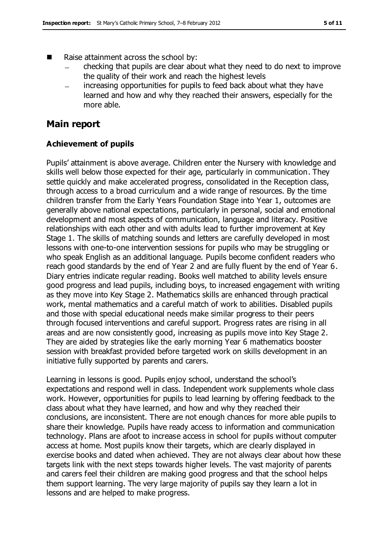- Raise attainment across the school by:
	- checking that pupils are clear about what they need to do next to improve  $\equiv$ the quality of their work and reach the highest levels
	- increasing opportunities for pupils to feed back about what they have learned and how and why they reached their answers, especially for the more able.

### **Main report**

#### **Achievement of pupils**

Pupils' attainment is above average. Children enter the Nursery with knowledge and skills well below those expected for their age, particularly in communication. They settle quickly and make accelerated progress, consolidated in the Reception class, through access to a broad curriculum and a wide range of resources. By the time children transfer from the Early Years Foundation Stage into Year 1, outcomes are generally above national expectations, particularly in personal, social and emotional development and most aspects of communication, language and literacy. Positive relationships with each other and with adults lead to further improvement at Key Stage 1. The skills of matching sounds and letters are carefully developed in most lessons with one-to-one intervention sessions for pupils who may be struggling or who speak English as an additional language. Pupils become confident readers who reach good standards by the end of Year 2 and are fully fluent by the end of Year 6. Diary entries indicate regular reading. Books well matched to ability levels ensure good progress and lead pupils, including boys, to increased engagement with writing as they move into Key Stage 2. Mathematics skills are enhanced through practical work, mental mathematics and a careful match of work to abilities. Disabled pupils and those with special educational needs make similar progress to their peers through focused interventions and careful support. Progress rates are rising in all areas and are now consistently good, increasing as pupils move into Key Stage 2. They are aided by strategies like the early morning Year 6 mathematics booster session with breakfast provided before targeted work on skills development in an initiative fully supported by parents and carers.

Learning in lessons is good. Pupils enjoy school, understand the school's expectations and respond well in class. Independent work supplements whole class work. However, opportunities for pupils to lead learning by offering feedback to the class about what they have learned, and how and why they reached their conclusions, are inconsistent. There are not enough chances for more able pupils to share their knowledge. Pupils have ready access to information and communication technology. Plans are afoot to increase access in school for pupils without computer access at home. Most pupils know their targets, which are clearly displayed in exercise books and dated when achieved. They are not always clear about how these targets link with the next steps towards higher levels. The vast majority of parents and carers feel their children are making good progress and that the school helps them support learning. The very large majority of pupils say they learn a lot in lessons and are helped to make progress.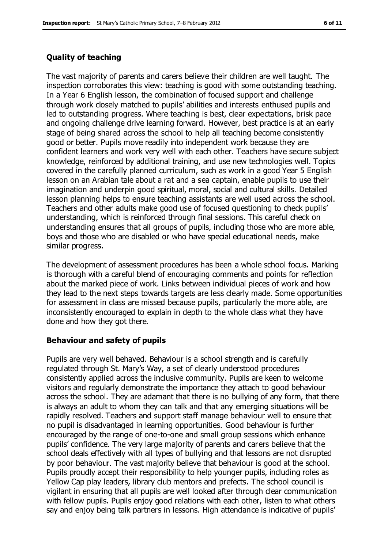#### **Quality of teaching**

The vast majority of parents and carers believe their children are well taught. The inspection corroborates this view: teaching is good with some outstanding teaching. In a Year 6 English lesson, the combination of focused support and challenge through work closely matched to pupils' abilities and interests enthused pupils and led to outstanding progress. Where teaching is best, clear expectations, brisk pace and ongoing challenge drive learning forward. However, best practice is at an early stage of being shared across the school to help all teaching become consistently good or better. Pupils move readily into independent work because they are confident learners and work very well with each other. Teachers have secure subject knowledge, reinforced by additional training, and use new technologies well. Topics covered in the carefully planned curriculum, such as work in a good Year 5 English lesson on an Arabian tale about a rat and a sea captain, enable pupils to use their imagination and underpin good spiritual, moral, social and cultural skills. Detailed lesson planning helps to ensure teaching assistants are well used across the school. Teachers and other adults make good use of focused questioning to check pupils' understanding, which is reinforced through final sessions. This careful check on understanding ensures that all groups of pupils, including those who are more able, boys and those who are disabled or who have special educational needs, make similar progress.

The development of assessment procedures has been a whole school focus. Marking is thorough with a careful blend of encouraging comments and points for reflection about the marked piece of work. Links between individual pieces of work and how they lead to the next steps towards targets are less clearly made. Some opportunities for assessment in class are missed because pupils, particularly the more able, are inconsistently encouraged to explain in depth to the whole class what they have done and how they got there.

#### **Behaviour and safety of pupils**

Pupils are very well behaved. Behaviour is a school strength and is carefully regulated through St. Mary's Way, a set of clearly understood procedures consistently applied across the inclusive community. Pupils are keen to welcome visitors and regularly demonstrate the importance they attach to good behaviour across the school. They are adamant that there is no bullying of any form, that there is always an adult to whom they can talk and that any emerging situations will be rapidly resolved. Teachers and support staff manage behaviour well to ensure that no pupil is disadvantaged in learning opportunities. Good behaviour is further encouraged by the range of one-to-one and small group sessions which enhance pupils' confidence. The very large majority of parents and carers believe that the school deals effectively with all types of bullying and that lessons are not disrupted by poor behaviour. The vast majority believe that behaviour is good at the school. Pupils proudly accept their responsibility to help younger pupils, including roles as Yellow Cap play leaders, library club mentors and prefects. The school council is vigilant in ensuring that all pupils are well looked after through clear communication with fellow pupils. Pupils enjoy good relations with each other, listen to what others say and enjoy being talk partners in lessons. High attendance is indicative of pupils'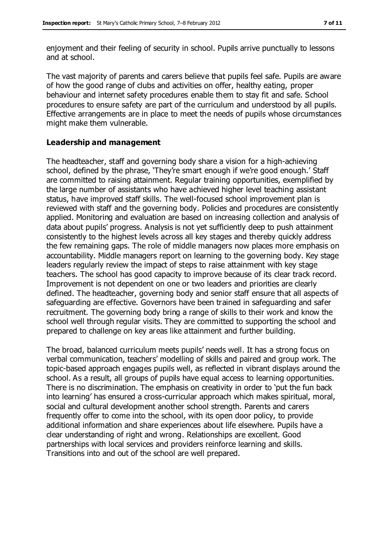enjoyment and their feeling of security in school. Pupils arrive punctually to lessons and at school.

The vast majority of parents and carers believe that pupils feel safe. Pupils are aware of how the good range of clubs and activities on offer, healthy eating, proper behaviour and internet safety procedures enable them to stay fit and safe. School procedures to ensure safety are part of the curriculum and understood by all pupils. Effective arrangements are in place to meet the needs of pupils whose circumstances might make them vulnerable.

#### **Leadership and management**

The headteacher, staff and governing body share a vision for a high-achieving school, defined by the phrase, 'They're smart enough if we're good enough.' Staff are committed to raising attainment. Regular training opportunities, exemplified by the large number of assistants who have achieved higher level teaching assistant status, have improved staff skills. The well-focused school improvement plan is reviewed with staff and the governing body. Policies and procedures are consistently applied. Monitoring and evaluation are based on increasing collection and analysis of data about pupils' progress. Analysis is not yet sufficiently deep to push attainment consistently to the highest levels across all key stages and thereby quickly address the few remaining gaps. The role of middle managers now places more emphasis on accountability. Middle managers report on learning to the governing body. Key stage leaders regularly review the impact of steps to raise attainment with key stage teachers. The school has good capacity to improve because of its clear track record. Improvement is not dependent on one or two leaders and priorities are clearly defined. The headteacher, governing body and senior staff ensure that all aspects of safeguarding are effective. Governors have been trained in safeguarding and safer recruitment. The governing body bring a range of skills to their work and know the school well through regular visits. They are committed to supporting the school and prepared to challenge on key areas like attainment and further building.

The broad, balanced curriculum meets pupils' needs well. It has a strong focus on verbal communication, teachers' modelling of skills and paired and group work. The topic-based approach engages pupils well, as reflected in vibrant displays around the school. As a result, all groups of pupils have equal access to learning opportunities. There is no discrimination. The emphasis on creativity in order to 'put the fun back into learning' has ensured a cross-curricular approach which makes spiritual, moral, social and cultural development another school strength. Parents and carers frequently offer to come into the school, with its open door policy, to provide additional information and share experiences about life elsewhere. Pupils have a clear understanding of right and wrong. Relationships are excellent. Good partnerships with local services and providers reinforce learning and skills. Transitions into and out of the school are well prepared.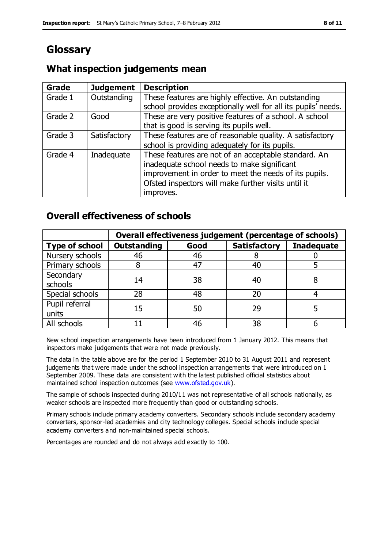# **Glossary**

### **What inspection judgements mean**

| Grade   | <b>Judgement</b> | <b>Description</b>                                                                                                                                                                                                               |
|---------|------------------|----------------------------------------------------------------------------------------------------------------------------------------------------------------------------------------------------------------------------------|
| Grade 1 | Outstanding      | These features are highly effective. An outstanding<br>school provides exceptionally well for all its pupils' needs.                                                                                                             |
| Grade 2 | Good             | These are very positive features of a school. A school<br>that is good is serving its pupils well.                                                                                                                               |
| Grade 3 | Satisfactory     | These features are of reasonable quality. A satisfactory<br>school is providing adequately for its pupils.                                                                                                                       |
| Grade 4 | Inadequate       | These features are not of an acceptable standard. An<br>inadequate school needs to make significant<br>improvement in order to meet the needs of its pupils.<br>Ofsted inspectors will make further visits until it<br>improves. |

### **Overall effectiveness of schools**

|                         | Overall effectiveness judgement (percentage of schools) |      |                     |                   |
|-------------------------|---------------------------------------------------------|------|---------------------|-------------------|
| <b>Type of school</b>   | <b>Outstanding</b>                                      | Good | <b>Satisfactory</b> | <b>Inadequate</b> |
| Nursery schools         | 46                                                      | 46   |                     |                   |
| Primary schools         |                                                         | 47   | 40                  |                   |
| Secondary<br>schools    | 14                                                      | 38   | 40                  |                   |
| Special schools         | 28                                                      | 48   | 20                  |                   |
| Pupil referral<br>units | 15                                                      | 50   | 29                  |                   |
| All schools             |                                                         | 46   | 38                  |                   |

New school inspection arrangements have been introduced from 1 January 2012. This means that inspectors make judgements that were not made previously.

The data in the table above are for the period 1 September 2010 to 31 August 2011 and represent judgements that were made under the school inspection arrangements that were introduced on 1 September 2009. These data are consistent with the latest published official statistics about maintained school inspection outcomes (see [www.ofsted.gov.uk\)](http://www.ofsted.gov.uk/).

The sample of schools inspected during 2010/11 was not representative of all schools nationally, as weaker schools are inspected more frequently than good or outstanding schools.

Primary schools include primary academy converters. Secondary schools include secondary academy converters, sponsor-led academies and city technology colleges. Special schools include special academy converters and non-maintained special schools.

Percentages are rounded and do not always add exactly to 100.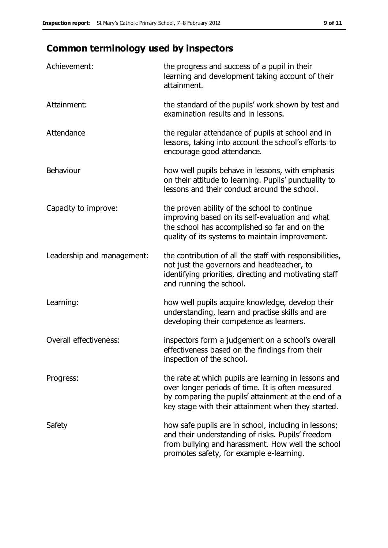# **Common terminology used by inspectors**

| Achievement:                  | the progress and success of a pupil in their<br>learning and development taking account of their<br>attainment.                                                                                                        |
|-------------------------------|------------------------------------------------------------------------------------------------------------------------------------------------------------------------------------------------------------------------|
| Attainment:                   | the standard of the pupils' work shown by test and<br>examination results and in lessons.                                                                                                                              |
| Attendance                    | the regular attendance of pupils at school and in<br>lessons, taking into account the school's efforts to<br>encourage good attendance.                                                                                |
| Behaviour                     | how well pupils behave in lessons, with emphasis<br>on their attitude to learning. Pupils' punctuality to<br>lessons and their conduct around the school.                                                              |
| Capacity to improve:          | the proven ability of the school to continue<br>improving based on its self-evaluation and what<br>the school has accomplished so far and on the<br>quality of its systems to maintain improvement.                    |
| Leadership and management:    | the contribution of all the staff with responsibilities,<br>not just the governors and headteacher, to<br>identifying priorities, directing and motivating staff<br>and running the school.                            |
| Learning:                     | how well pupils acquire knowledge, develop their<br>understanding, learn and practise skills and are<br>developing their competence as learners.                                                                       |
| <b>Overall effectiveness:</b> | inspectors form a judgement on a school's overall<br>effectiveness based on the findings from their<br>inspection of the school.                                                                                       |
| Progress:                     | the rate at which pupils are learning in lessons and<br>over longer periods of time. It is often measured<br>by comparing the pupils' attainment at the end of a<br>key stage with their attainment when they started. |
| Safety                        | how safe pupils are in school, including in lessons;<br>and their understanding of risks. Pupils' freedom<br>from bullying and harassment. How well the school<br>promotes safety, for example e-learning.             |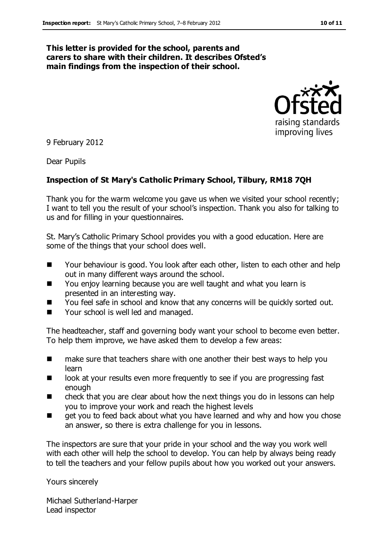#### **This letter is provided for the school, parents and carers to share with their children. It describes Ofsted's main findings from the inspection of their school.**



9 February 2012

Dear Pupils

#### **Inspection of St Mary's Catholic Primary School, Tilbury, RM18 7QH**

Thank you for the warm welcome you gave us when we visited your school recently; I want to tell you the result of your school's inspection. Thank you also for talking to us and for filling in your questionnaires.

St. Mary's Catholic Primary School provides you with a good education. Here are some of the things that your school does well.

- Your behaviour is good. You look after each other, listen to each other and help out in many different ways around the school.
- You enjoy learning because you are well taught and what you learn is presented in an interesting way.
- You feel safe in school and know that any concerns will be quickly sorted out.
- Your school is well led and managed.

The headteacher, staff and governing body want your school to become even better. To help them improve, we have asked them to develop a few areas:

- **EXTERGH** make sure that teachers share with one another their best ways to help you learn
- look at your results even more frequently to see if you are progressing fast enough
- check that you are clear about how the next things you do in lessons can help you to improve your work and reach the highest levels
- get you to feed back about what you have learned and why and how you chose an answer, so there is extra challenge for you in lessons.

The inspectors are sure that your pride in your school and the way you work well with each other will help the school to develop. You can help by always being ready to tell the teachers and your fellow pupils about how you worked out your answers.

Yours sincerely

Michael Sutherland-Harper Lead inspector